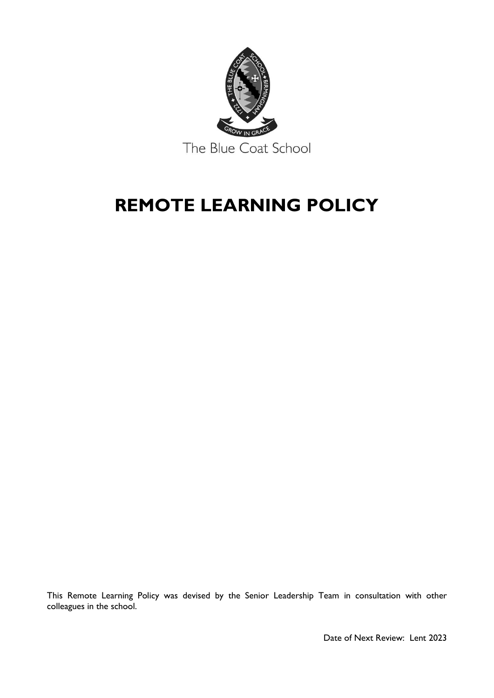

# **REMOTE LEARNING POLICY**

This Remote Learning Policy was devised by the Senior Leadership Team in consultation with other colleagues in the school.

Date of Next Review: Lent 2023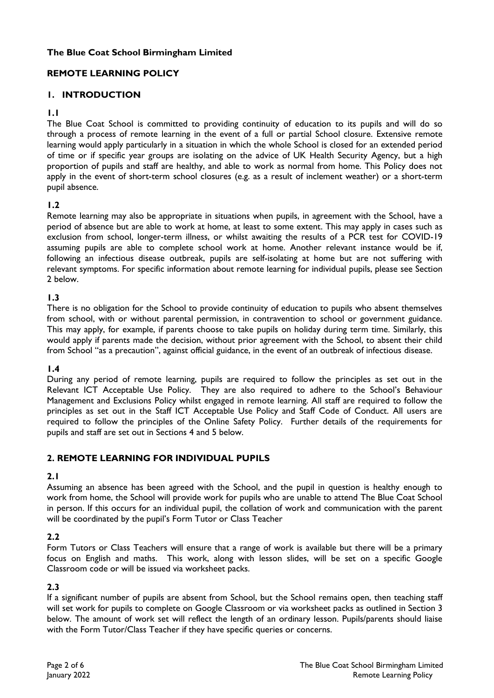#### **The Blue Coat School Birmingham Limited**

# **REMOTE LEARNING POLICY**

## **1. INTRODUCTION**

#### **1.1**

The Blue Coat School is committed to providing continuity of education to its pupils and will do so through a process of remote learning in the event of a full or partial School closure. Extensive remote learning would apply particularly in a situation in which the whole School is closed for an extended period of time or if specific year groups are isolating on the advice of UK Health Security Agency, but a high proportion of pupils and staff are healthy, and able to work as normal from home. This Policy does not apply in the event of short-term school closures (e.g. as a result of inclement weather) or a short-term pupil absence.

#### **1.2**

Remote learning may also be appropriate in situations when pupils, in agreement with the School, have a period of absence but are able to work at home, at least to some extent. This may apply in cases such as exclusion from school, longer-term illness, or whilst awaiting the results of a PCR test for COVID-19 assuming pupils are able to complete school work at home. Another relevant instance would be if, following an infectious disease outbreak, pupils are self-isolating at home but are not suffering with relevant symptoms. For specific information about remote learning for individual pupils, please see Section 2 below.

#### **1.3**

There is no obligation for the School to provide continuity of education to pupils who absent themselves from school, with or without parental permission, in contravention to school or government guidance. This may apply, for example, if parents choose to take pupils on holiday during term time. Similarly, this would apply if parents made the decision, without prior agreement with the School, to absent their child from School "as a precaution", against official guidance, in the event of an outbreak of infectious disease.

#### **1.4**

During any period of remote learning, pupils are required to follow the principles as set out in the Relevant ICT Acceptable Use Policy. They are also required to adhere to the School's Behaviour Management and Exclusions Policy whilst engaged in remote learning. All staff are required to follow the principles as set out in the Staff ICT Acceptable Use Policy and Staff Code of Conduct. All users are required to follow the principles of the Online Safety Policy. Further details of the requirements for pupils and staff are set out in Sections 4 and 5 below.

#### **2. REMOTE LEARNING FOR INDIVIDUAL PUPILS**

#### **2.1**

Assuming an absence has been agreed with the School, and the pupil in question is healthy enough to work from home, the School will provide work for pupils who are unable to attend The Blue Coat School in person. If this occurs for an individual pupil, the collation of work and communication with the parent will be coordinated by the pupil's Form Tutor or Class Teacher

#### **2.2**

Form Tutors or Class Teachers will ensure that a range of work is available but there will be a primary focus on English and maths. This work, along with lesson slides, will be set on a specific Google Classroom code or will be issued via worksheet packs.

#### **2.3**

If a significant number of pupils are absent from School, but the School remains open, then teaching staff will set work for pupils to complete on Google Classroom or via worksheet packs as outlined in Section 3 below. The amount of work set will reflect the length of an ordinary lesson. Pupils/parents should liaise with the Form Tutor/Class Teacher if they have specific queries or concerns.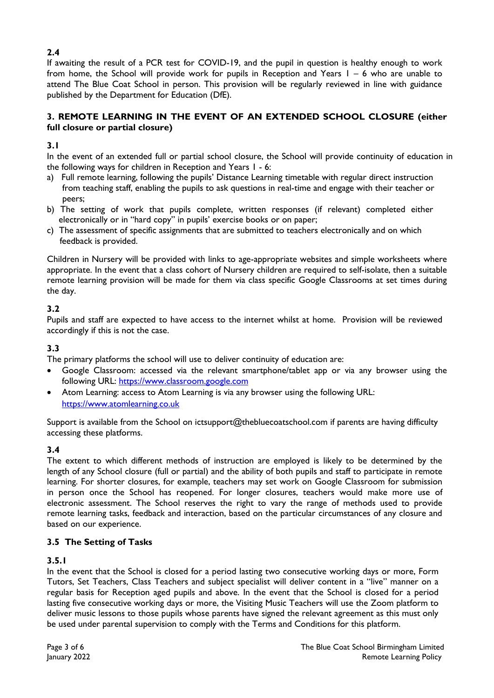## **2.4**

If awaiting the result of a PCR test for COVID-19, and the pupil in question is healthy enough to work from home, the School will provide work for pupils in Reception and Years 1 – 6 who are unable to attend The Blue Coat School in person. This provision will be regularly reviewed in line with guidance published by the Department for Education (DfE).

### **3. REMOTE LEARNING IN THE EVENT OF AN EXTENDED SCHOOL CLOSURE (either full closure or partial closure)**

## **3.1**

In the event of an extended full or partial school closure, the School will provide continuity of education in the following ways for children in Reception and Years 1 - 6:

- a) Full remote learning, following the pupils' Distance Learning timetable with regular direct instruction from teaching staff, enabling the pupils to ask questions in real-time and engage with their teacher or peers;
- b) The setting of work that pupils complete, written responses (if relevant) completed either electronically or in "hard copy" in pupils' exercise books or on paper;
- c) The assessment of specific assignments that are submitted to teachers electronically and on which feedback is provided.

Children in Nursery will be provided with links to age-appropriate websites and simple worksheets where appropriate. In the event that a class cohort of Nursery children are required to self-isolate, then a suitable remote learning provision will be made for them via class specific Google Classrooms at set times during the day.

#### **3.2**

Pupils and staff are expected to have access to the internet whilst at home. Provision will be reviewed accordingly if this is not the case.

## **3.3**

The primary platforms the school will use to deliver continuity of education are:

- Google Classroom: accessed via the relevant smartphone/tablet app or via any browser using the following URL: [https://www.classroom.google.com](https://www.classroom.google.com/)
- Atom Learning: access to Atom Learning is via any browser using the following URL: [https://www.atomlearning.co.uk](https://www.atomlearning.co.uk/)

Support is available from the School on ictsupport@thebluecoatschool.com if parents are having difficulty accessing these platforms.

## **3.4**

The extent to which different methods of instruction are employed is likely to be determined by the length of any School closure (full or partial) and the ability of both pupils and staff to participate in remote learning. For shorter closures, for example, teachers may set work on Google Classroom for submission in person once the School has reopened. For longer closures, teachers would make more use of electronic assessment. The School reserves the right to vary the range of methods used to provide remote learning tasks, feedback and interaction, based on the particular circumstances of any closure and based on our experience.

#### **3.5 The Setting of Tasks**

#### **3.5.1**

In the event that the School is closed for a period lasting two consecutive working days or more, Form Tutors, Set Teachers, Class Teachers and subject specialist will deliver content in a "live" manner on a regular basis for Reception aged pupils and above. In the event that the School is closed for a period lasting five consecutive working days or more, the Visiting Music Teachers will use the Zoom platform to deliver music lessons to those pupils whose parents have signed the relevant agreement as this must only be used under parental supervision to comply with the Terms and Conditions for this platform.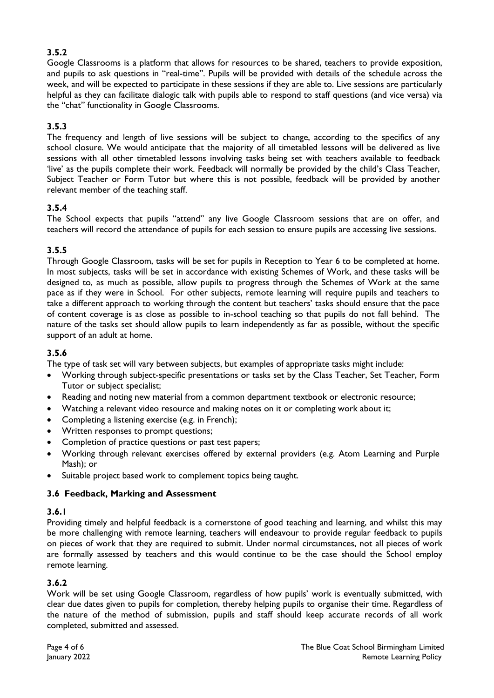## **3.5.2**

Google Classrooms is a platform that allows for resources to be shared, teachers to provide exposition, and pupils to ask questions in "real-time". Pupils will be provided with details of the schedule across the week, and will be expected to participate in these sessions if they are able to. Live sessions are particularly helpful as they can facilitate dialogic talk with pupils able to respond to staff questions (and vice versa) via the "chat" functionality in Google Classrooms.

### **3.5.3**

The frequency and length of live sessions will be subject to change, according to the specifics of any school closure. We would anticipate that the majority of all timetabled lessons will be delivered as live sessions with all other timetabled lessons involving tasks being set with teachers available to feedback 'live' as the pupils complete their work. Feedback will normally be provided by the child's Class Teacher, Subject Teacher or Form Tutor but where this is not possible, feedback will be provided by another relevant member of the teaching staff.

#### **3.5.4**

The School expects that pupils "attend" any live Google Classroom sessions that are on offer, and teachers will record the attendance of pupils for each session to ensure pupils are accessing live sessions.

#### **3.5.5**

Through Google Classroom, tasks will be set for pupils in Reception to Year 6 to be completed at home. In most subjects, tasks will be set in accordance with existing Schemes of Work, and these tasks will be designed to, as much as possible, allow pupils to progress through the Schemes of Work at the same pace as if they were in School. For other subjects, remote learning will require pupils and teachers to take a different approach to working through the content but teachers' tasks should ensure that the pace of content coverage is as close as possible to in-school teaching so that pupils do not fall behind. The nature of the tasks set should allow pupils to learn independently as far as possible, without the specific support of an adult at home.

### **3.5.6**

The type of task set will vary between subjects, but examples of appropriate tasks might include:

- Working through subject-specific presentations or tasks set by the Class Teacher, Set Teacher, Form Tutor or subject specialist;
- Reading and noting new material from a common department textbook or electronic resource;
- Watching a relevant video resource and making notes on it or completing work about it;
- Completing a listening exercise (e.g. in French);
- Written responses to prompt questions;
- Completion of practice questions or past test papers;
- Working through relevant exercises offered by external providers (e.g. Atom Learning and Purple Mash); or
- Suitable project based work to complement topics being taught.

#### **3.6 Feedback, Marking and Assessment**

#### **3.6.1**

Providing timely and helpful feedback is a cornerstone of good teaching and learning, and whilst this may be more challenging with remote learning, teachers will endeavour to provide regular feedback to pupils on pieces of work that they are required to submit. Under normal circumstances, not all pieces of work are formally assessed by teachers and this would continue to be the case should the School employ remote learning.

#### **3.6.2**

Work will be set using Google Classroom, regardless of how pupils' work is eventually submitted, with clear due dates given to pupils for completion, thereby helping pupils to organise their time. Regardless of the nature of the method of submission, pupils and staff should keep accurate records of all work completed, submitted and assessed.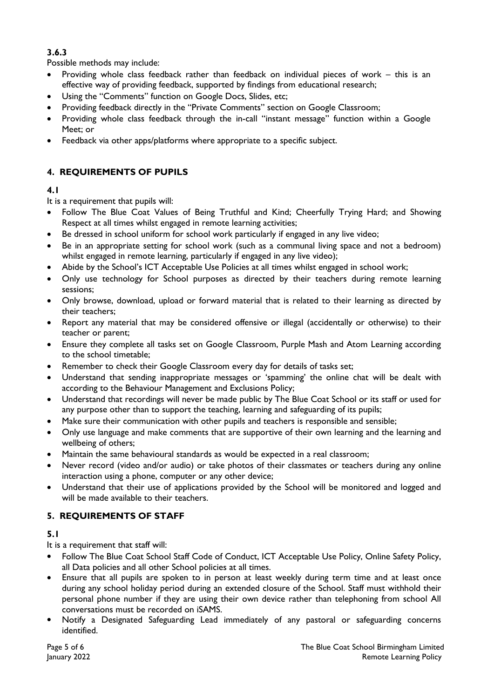# **3.6.3**

Possible methods may include:

- Providing whole class feedback rather than feedback on individual pieces of work this is an effective way of providing feedback, supported by findings from educational research;
- Using the "Comments" function on Google Docs, Slides, etc;
- Providing feedback directly in the "Private Comments" section on Google Classroom;
- Providing whole class feedback through the in-call "instant message" function within a Google Meet; or
- Feedback via other apps/platforms where appropriate to a specific subject.

# **4. REQUIREMENTS OF PUPILS**

## **4.1**

It is a requirement that pupils will:

- Follow The Blue Coat Values of Being Truthful and Kind; Cheerfully Trying Hard; and Showing Respect at all times whilst engaged in remote learning activities;
- Be dressed in school uniform for school work particularly if engaged in any live video;
- Be in an appropriate setting for school work (such as a communal living space and not a bedroom) whilst engaged in remote learning, particularly if engaged in any live video);
- Abide by the School's ICT Acceptable Use Policies at all times whilst engaged in school work;
- Only use technology for School purposes as directed by their teachers during remote learning sessions;
- Only browse, download, upload or forward material that is related to their learning as directed by their teachers;
- Report any material that may be considered offensive or illegal (accidentally or otherwise) to their teacher or parent;
- Ensure they complete all tasks set on Google Classroom, Purple Mash and Atom Learning according to the school timetable;
- Remember to check their Google Classroom every day for details of tasks set;
- Understand that sending inappropriate messages or 'spamming' the online chat will be dealt with according to the Behaviour Management and Exclusions Policy;
- Understand that recordings will never be made public by The Blue Coat School or its staff or used for any purpose other than to support the teaching, learning and safeguarding of its pupils;
- Make sure their communication with other pupils and teachers is responsible and sensible;
- Only use language and make comments that are supportive of their own learning and the learning and wellbeing of others;
- Maintain the same behavioural standards as would be expected in a real classroom;
- Never record (video and/or audio) or take photos of their classmates or teachers during any online interaction using a phone, computer or any other device;
- Understand that their use of applications provided by the School will be monitored and logged and will be made available to their teachers.

## **5. REQUIREMENTS OF STAFF**

## **5.1**

It is a requirement that staff will:

- Follow The Blue Coat School Staff Code of Conduct, ICT Acceptable Use Policy, Online Safety Policy, all Data policies and all other School policies at all times.
- Ensure that all pupils are spoken to in person at least weekly during term time and at least once during any school holiday period during an extended closure of the School. Staff must withhold their personal phone number if they are using their own device rather than telephoning from school All conversations must be recorded on iSAMS.
- Notify a Designated Safeguarding Lead immediately of any pastoral or safeguarding concerns identified.